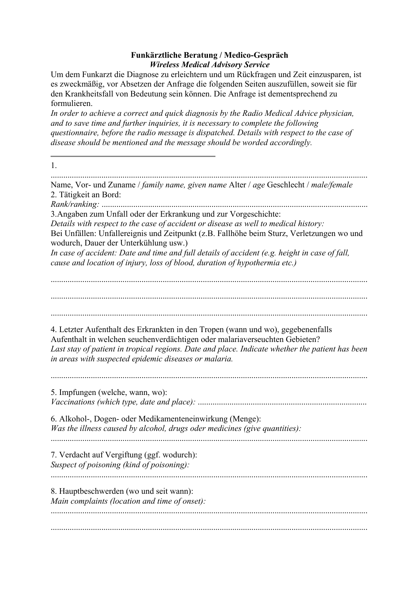## **Funkärztliche Beratung / Medico-Gespräch** *Wireless Medical Advisory Service*

Um dem Funkarzt die Diagnose zu erleichtern und um Rückfragen und Zeit einzusparen, ist es zweckmäßig, vor Absetzen der Anfrage die folgenden Seiten auszufüllen, soweit sie für den Krankheitsfall von Bedeutung sein können. Die Anfrage ist dementsprechend zu formulieren.

*In order to achieve a correct and quick diagnosis by the Radio Medical Advice physician, and to save time and further inquiries, it is necessary to complete the following questionnaire, before the radio message is dispatched. Details with respect to the case of disease should be mentioned and the message should be worded accordingly.*

1. ...................................................................................................................................................... Name, Vor- und Zuname / *family name, given name* Alter / *age* Geschlecht / *male/female* 2. Tätigkeit an Bord: *Rank/ranking:* .............................................................................................................................. 3.Angaben zum Unfall oder der Erkrankung und zur Vorgeschichte: *Details with respect to the case of accident or disease as well to medical history:* Bei Unfällen: Unfallereignis und Zeitpunkt (z.B. Fallhöhe beim Sturz, Verletzungen wo und wodurch, Dauer der Unterkühlung usw.) *In case of accident: Date and time and full details of accident (e.g. height in case of fall, cause and location of injury, loss of blood, duration of hypothermia etc.)* ...................................................................................................................................................... ...................................................................................................................................................... ...................................................................................................................................................... 4. Letzter Aufenthalt des Erkrankten in den Tropen (wann und wo), gegebenenfalls Aufenthalt in welchen seuchenverdächtigen oder malariaverseuchten Gebieten? *Last stay of patient in tropical regions. Date and place. Indicate whether the patient has been in areas with suspected epidemic diseases or malaria.* 5. Impfungen (welche, wann, wo): *Vaccinations (which type, date and place):* ................................................................................ 6. Alkohol-, Dogen- oder Medikamenteneinwirkung (Menge): *Was the illness caused by alcohol, drugs oder medicines (give quantities):* ...................................................................................................................................................... 7. Verdacht auf Vergiftung (ggf. wodurch): *Suspect of poisoning (kind of poisoning):* ...................................................................................................................................................... 8. Hauptbeschwerden (wo und seit wann): *Main complaints (location and time of onset):* ...................................................................................................................................................... ......................................................................................................................................................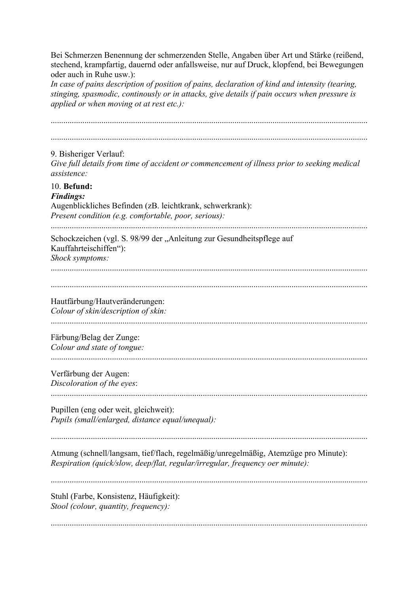Bei Schmerzen Benennung der schmerzenden Stelle, Angaben über Art und Stärke (reißend, stechend, krampfartig, dauernd oder anfallsweise, nur auf Druck, klopfend, bei Bewegungen oder auch in Ruhe usw.):

*In case of pains description of position of pains, declaration of kind and intensity (tearing, stinging, spasmodic, continously or in attacks, give details if pain occurs when pressure is applied or when moving ot at rest etc.):*

...................................................................................................................................................... ...................................................................................................................................................... 9. Bisheriger Verlauf: *Give full details from time of accident or commencement of illness prior to seeking medical assistence:* 10. **Befund:** *Findings:* Augenblickliches Befinden (zB. leichtkrank, schwerkrank): *Present condition (e.g. comfortable, poor, serious):* ...................................................................................................................................................... Schockzeichen (vgl. S. 98/99 der "Anleitung zur Gesundheitspflege auf Kauffahrteischiffen"): *Shock symptoms:* Hautfärbung/Hautveränderungen: *Colour of skin/description of skin:* ...................................................................................................................................................... Färbung/Belag der Zunge: *Colour and state of tongue:* ...................................................................................................................................................... Verfärbung der Augen: *Discoloration of the eyes*: ...................................................................................................................................................... Pupillen (eng oder weit, gleichweit): *Pupils (small/enlarged, distance equal/unequal):* Atmung (schnell/langsam, tief/flach, regelmäßig/unregelmäßig, Atemzüge pro Minute): *Respiration (quick/slow, deep/flat, regular/irregular, frequency oer minute):* ...................................................................................................................................................... Stuhl (Farbe, Konsistenz, Häufigkeit): *Stool (colour, quantity, frequency):* ......................................................................................................................................................